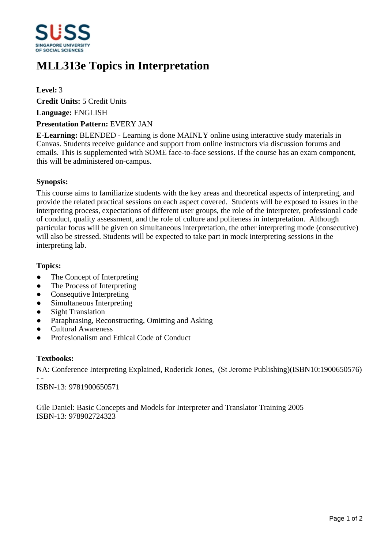

# **MLL313e Topics in Interpretation**

## **Level:** 3

**Credit Units:** 5 Credit Units

**Language:** ENGLISH

### **Presentation Pattern:** EVERY JAN

**E-Learning:** BLENDED - Learning is done MAINLY online using interactive study materials in Canvas. Students receive guidance and support from online instructors via discussion forums and emails. This is supplemented with SOME face-to-face sessions. If the course has an exam component, this will be administered on-campus.

## **Synopsis:**

This course aims to familiarize students with the key areas and theoretical aspects of interpreting, and provide the related practical sessions on each aspect covered. Students will be exposed to issues in the interpreting process, expectations of different user groups, the role of the interpreter, professional code of conduct, quality assessment, and the role of culture and politeness in interpretation. Although particular focus will be given on simultaneous interpretation, the other interpreting mode (consecutive) will also be stressed. Students will be expected to take part in mock interpreting sessions in the interpreting lab.

### **Topics:**

- The Concept of Interpreting
- The Process of Interpreting
- Consequtive Interpreting
- Simultaneous Interpreting
- Sight Translation
- Paraphrasing, Reconstructing, Omitting and Asking
- ƔCultural Awareness
- ƔProfesionalism and Ethical Code of Conduct

#### **Textbooks:**

NA: Conference Interpreting Explained, Roderick Jones, (St Jerome Publishing)(ISBN10:1900650576) - -

ISBN-13: 9781900650571

Gile Daniel: Basic Concepts and Models for Interpreter and Translator Training 2005 ISBN-13: 978902724323